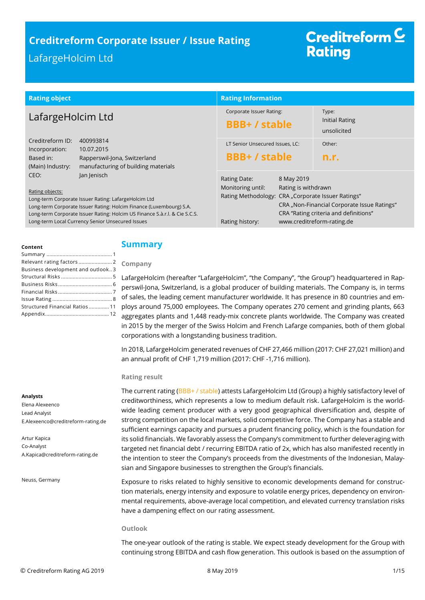# **Creditreform Corporate Issuer / Issue Rating**

## LafargeHolcim Ltd

# Creditreform  $\subseteq$ **Rating**

| <b>Rating object</b>                                                                                                                                                                                                                                                                                                                                                                                                                                                             | <b>Rating Information</b>                                                                                                                       |                                                                                                                    |
|----------------------------------------------------------------------------------------------------------------------------------------------------------------------------------------------------------------------------------------------------------------------------------------------------------------------------------------------------------------------------------------------------------------------------------------------------------------------------------|-------------------------------------------------------------------------------------------------------------------------------------------------|--------------------------------------------------------------------------------------------------------------------|
| LafargeHolcim Ltd                                                                                                                                                                                                                                                                                                                                                                                                                                                                | Corporate Issuer Rating:<br><b>BBB+/stable</b>                                                                                                  | Type:<br>Initial Rating<br>unsolicited                                                                             |
| Creditreform ID:<br>400993814<br>10.07.2015<br>Incorporation:<br>Based in:<br>Rapperswil-Jona, Switzerland<br>manufacturing of building materials<br>(Main) Industry:<br>CEO:<br>Jan Jenisch<br>Rating objects:<br>Long-term Corporate Issuer Rating: LafargeHolcim Ltd<br>Long-term Corporate Issuer Rating: Holcim Finance (Luxembourg) S.A.<br>Long-term Corporate Issuer Rating: Holcim US Finance S.à.r.l. & Cie S.C.S.<br>Long-term Local Currency Senior Unsecured Issues | LT Senior Unsecured Issues, LC:<br><b>BBB+/stable</b>                                                                                           | Other:<br>n.r.                                                                                                     |
|                                                                                                                                                                                                                                                                                                                                                                                                                                                                                  | 8 May 2019<br>Rating Date:<br>Monitoring until:<br>Rating is withdrawn<br>Rating Methodology: CRA "Corporate Issuer Ratings"<br>Rating history: | CRA "Non-Financial Corporate Issue Ratings"<br>CRA "Rating criteria and definitions"<br>www.creditreform-rating.de |

#### **Content**

| Relevant rating factors 2         |  |
|-----------------------------------|--|
| Business development and outlook3 |  |
|                                   |  |
|                                   |  |
|                                   |  |
|                                   |  |
| Structured Financial Ratios 11    |  |
|                                   |  |
|                                   |  |

### <span id="page-0-0"></span>**Summary**

#### **Company**

LafargeHolcim (hereafter "LafargeHolcim", "the Company", "the Group") headquartered in Rapperswil-Jona, Switzerland, is a global producer of building materials. The Company is, in terms of sales, the leading cement manufacturer worldwide. It has presence in 80 countries and employs around 75,000 employees. The Company operates 270 cement and grinding plants, 663 aggregates plants and 1,448 ready-mix concrete plants worldwide. The Company was created in 2015 by the merger of the Swiss Holcim and French Lafarge companies, both of them global corporations with a longstanding business tradition.

In 2018, LafargeHolcim generated revenues of CHF 27,466 million (2017: CHF 27,021 million) and an annual profit of CHF 1,719 million (2017: CHF -1,716 million).

#### **Rating result**

The current rating (BBB+ / stable) attests LafargeHolcim Ltd (Group) a highly satisfactory level of creditworthiness, which represents a low to medium default risk. LafargeHolcim is the worldwide leading cement producer with a very good geographical diversification and, despite of strong competition on the local markets, solid competitive force. The Company has a stable and sufficient earnings capacity and pursues a prudent financing policy, which is the foundation for its solid financials. We favorably assess the Company's commitment to further deleveraging with targeted net financial debt / recurring EBITDA ratio of 2x, which has also manifested recently in the intention to steer the Company's proceeds from the divestments of the Indonesian, Malaysian and Singapore businesses to strengthen the Group's financials.

Exposure to risks related to highly sensitive to economic developments demand for construction materials, energy intensity and exposure to volatile energy prices, dependency on environmental requirements, above-average local competition, and elevated currency translation risks have a dampening effect on our rating assessment.

#### **Outlook**

The one-year outlook of the rating is stable. We expect steady development for the Group with continuing strong EBITDA and cash flow generation. This outlook is based on the assumption of

Elena Alexeenco Lead Analyst E.Alexeenco@creditreform-rating.de

Artur Kapica Co-Analyst A.Kapica@creditreform-rating.de

Neuss, Germany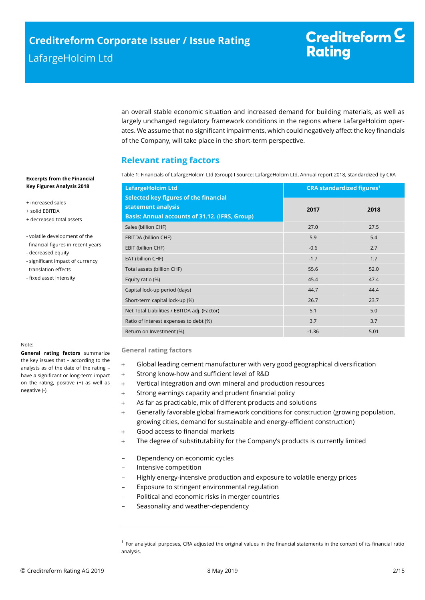an overall stable economic situation and increased demand for building materials, as well as largely unchanged regulatory framework conditions in the regions where LafargeHolcim operates. We assume that no significant impairments, which could negatively affect the key financials of the Company, will take place in the short-term perspective.

## <span id="page-1-0"></span>**Relevant rating factors**

Table 1: Financials of LafargeHolcim Ltd (Group) I Source: LafargeHolcim Ltd, Annual report 2018, standardized by CRA

| <b>LafargeHolcim Ltd</b>                                                                                                    |         | <b>CRA standardized figures<sup>1</sup></b> |  |  |
|-----------------------------------------------------------------------------------------------------------------------------|---------|---------------------------------------------|--|--|
| <b>Selected key figures of the financial</b><br>statement analysis<br><b>Basis: Annual accounts of 31.12. (IFRS, Group)</b> | 2017    | 2018                                        |  |  |
| Sales (billion CHF)                                                                                                         | 27.0    | 27.5                                        |  |  |
| EBITDA (billion CHF)                                                                                                        | 5.9     | 5.4                                         |  |  |
| EBIT (billion CHF)                                                                                                          | $-0.6$  | 2.7                                         |  |  |
| EAT (billion CHF)                                                                                                           | $-1.7$  | 1.7                                         |  |  |
| Total assets (billion CHF)                                                                                                  | 55.6    | 52.0                                        |  |  |
| Equity ratio (%)                                                                                                            | 45.4    | 47.4                                        |  |  |
| Capital lock-up period (days)                                                                                               | 44.7    | 44.4                                        |  |  |
| Short-term capital lock-up (%)                                                                                              | 26.7    | 23.7                                        |  |  |
| Net Total Liabilities / EBITDA adj. (Factor)                                                                                | 5.1     | 5.0                                         |  |  |
| Ratio of interest expenses to debt (%)                                                                                      | 3.7     | 3.7                                         |  |  |
| Return on Investment (%)                                                                                                    | $-1.36$ | 5.01                                        |  |  |

#### Note:

**General rating factors** summarize the key issues that – according to the analysts as of the date of the rating – have a significant or long-term impact on the rating, positive (+) as well as negative (-).

**Excerpts from the Financial Key Figures Analysis 2018**

+ increased sales + solid EBITDA

- decreased equity

 translation effects - fixed asset intensity

+ decreased total assets

- volatile development of the financial figures in recent years

- significant impact of currency

#### **General rating factors**

- Global leading cement manufacturer with very good geographical diversification
- Strong know-how and sufficient level of R&D
- Vertical integration and own mineral and production resources
- Strong earnings capacity and prudent financial policy
- As far as practicable, mix of different products and solutions
- Generally favorable global framework conditions for construction (growing population, growing cities, demand for sustainable and energy-efficient construction)
- Good access to financial markets
- + The degree of substitutability for the Company's products is currently limited
- Dependency on economic cycles
- Intensive competition

 $\overline{a}$ 

- Highly energy-intensive production and exposure to volatile energy prices
- Exposure to stringent environmental regulation
- Political and economic risks in merger countries
- Seasonality and weather-dependency

<sup>&</sup>lt;sup>1</sup> For analytical purposes, CRA adjusted the original values in the financial statements in the context of its financial ratio analysis.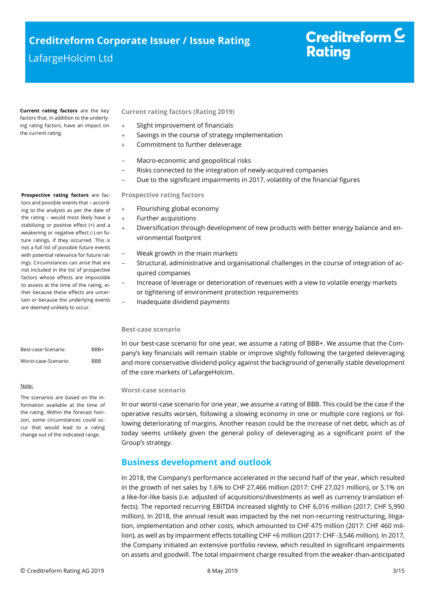**Current rating factors** are the key factors that, in addition to the underlying rating factors, have an impact on the current rating.

#### **Current rating factors (Rating 2019)**

- Slight improvement of financials
- + Savings in the course of strategy implementation
- Commitment to further deleverage
- Macro-economic and geopolitical risks
- Risks connected to the integration of newly-acquired companies
- Due to the significant impairments in 2017, volatility of the financial figures

#### **Prospective rating factors**

- + Flourishing global economy
- + Further acquisitions
- Diversification through development of new products with better energy balance and environmental footprint
	- Weak growth in the main markets
- Structural, administrative and organisational challenges in the course of integration of acquired companies
- Increase of leverage or deterioration of revenues with a view to volatile energy markets or tightening of environment protection requirements
- Inadequate dividend payments

#### **Best-case scenario**

In our best-case scenario for one year, we assume a rating of BBB+. We assume that the Company's key financials will remain stable or improve slightly following the targeted deleveraging and more conservative dividend policy against the background of generally stable development of the core markets of LafargeHolcim.

#### **Worst-case scenario**

In our worst-case scenario for one year, we assume a rating of BBB. This could be the case if the operative results worsen, following a slowing economy in one or multiple core regions or following deteriorating of margins. Another reason could be the increase of net debt, which as of today seems unlikely given the general policy of deleveraging as a significant point of the Group's strategy.

## <span id="page-2-0"></span>**Business development and outlook**

In 2018, the Company's performance accelerated in the second half of the year, which resulted in the growth of net sales by 1.6% to CHF 27,466 million (2017: CHF 27,021 million), or 5.1% on a like-for-like basis (i.e. adjusted of acquisitions/divestments as well as currency translation effects). The reported recurring EBITDA increased slightly to CHF 6,016 million (2017: CHF 5,990 million). In 2018, the annual result was impacted by the net non-recurring restructuring, litigation, implementation and other costs, which amounted to CHF 475 million (2017: CHF 460 million), as well as by impairment effects totalling CHF +6 million (2017: CHF -3,546 million). In 2017, the Company initiated an extensive portfolio review, which resulted in significant impairments on assets and goodwill. The total impairment charge resulted from the weaker-than-anticipated

**Prospective rating factors** are factors and possible events that – according to the analysts as per the date of the rating – would most likely have a stabilizing or positive effect (+) and a weakening or negative effect (-) on future ratings, if they occurred. This is not a full list of possible future events with potential relevance for future ratings. Circumstances can arise that are not included in the list of prospective factors whose effects are impossible to assess at the time of the rating, either because these effects are uncertain or because the underlying events are deemed unlikely to occur.

| Best-case-Scenario:  | RRR+       |
|----------------------|------------|
| Worst-case-Scenario: | <b>BBB</b> |

#### Note:

The scenarios are based on the information available at the time of the rating. Within the forecast horizon, some circumstances could occur that would lead to a rating change out of the indicated range.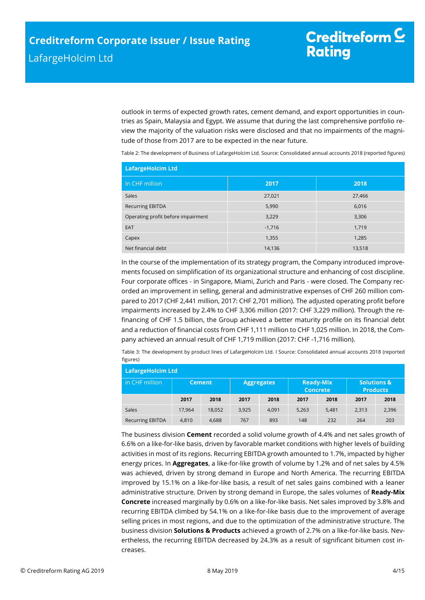outlook in terms of expected growth rates, cement demand, and export opportunities in countries as Spain, Malaysia and Egypt. We assume that during the last comprehensive portfolio review the majority of the valuation risks were disclosed and that no impairments of the magnitude of those from 2017 are to be expected in the near future.

Table 2: The development of Business of LafargeHolcim Ltd. Source: Consolidated annual accounts 2018 (reported figures)

| <b>LafargeHolcim Ltd</b>           |          |        |  |  |  |
|------------------------------------|----------|--------|--|--|--|
| In CHF million                     | 2017     | 2018   |  |  |  |
| Sales                              | 27,021   | 27,466 |  |  |  |
| <b>Recurring EBITDA</b>            | 5,990    | 6,016  |  |  |  |
| Operating profit before impairment | 3,229    | 3,306  |  |  |  |
| EAT                                | $-1,716$ | 1,719  |  |  |  |
| Capex                              | 1,355    | 1,285  |  |  |  |
| Net financial debt                 | 14,136   | 13,518 |  |  |  |

In the course of the implementation of its strategy program, the Company introduced improvements focused on simplification of its organizational structure and enhancing of cost discipline. Four corporate offices - in Singapore, Miami, Zurich and Paris - were closed. The Company recorded an improvement in selling, general and administrative expenses of CHF 260 million compared to 2017 (CHF 2,441 million, 2017: CHF 2,701 million). The adjusted operating profit before impairments increased by 2.4% to CHF 3,306 million (2017: CHF 3,229 million). Through the refinancing of CHF 1.5 billion, the Group achieved a better maturity profile on its financial debt and a reduction of financial costs from CHF 1,111 million to CHF 1,025 million. In 2018, the Company achieved an annual result of CHF 1,719 million (2017: CHF -1,716 million).

Table 3: The development by product lines of LafargeHolcim Ltd. I Source: Consolidated annual accounts 2018 (reported figures)

| <b>LafargeHolcim Ltd</b>      |               |        |                   |       |                                     |       |                                           |       |
|-------------------------------|---------------|--------|-------------------|-------|-------------------------------------|-------|-------------------------------------------|-------|
| $\,$ in CHF million $^\prime$ | <b>Cement</b> |        | <b>Aggregates</b> |       | <b>Ready-Mix</b><br><b>Concrete</b> |       | <b>Solutions &amp;</b><br><b>Products</b> |       |
|                               | 2017          | 2018   | 2017              | 2018  | 2017                                | 2018  | 2017                                      | 2018  |
| <b>Sales</b>                  | 17.964        | 18.052 | 3.925             | 4.091 | 5,263                               | 5.481 | 2,313                                     | 2,396 |
| <b>Recurring EBITDA</b>       | 4,810         | 4,688  | 767               | 893   | 148                                 | 232   | 264                                       | 203   |

The business division **Cement** recorded a solid volume growth of 4.4% and net sales growth of 6.6% on a like-for-like basis, driven by favorable market conditions with higher levels of building activities in most of its regions. Recurring EBITDA growth amounted to 1.7%, impacted by higher energy prices. In **Aggregates**, a like-for-like growth of volume by 1.2% and of net sales by 4.5% was achieved, driven by strong demand in Europe and North America. The recurring EBITDA improved by 15.1% on a like-for-like basis, a result of net sales gains combined with a leaner administrative structure. Driven by strong demand in Europe, the sales volumes of **Ready-Mix Concrete** increased marginally by 0.6% on a like-for-like basis. Net sales improved by 3.8% and recurring EBITDA climbed by 54.1% on a like-for-like basis due to the improvement of average selling prices in most regions, and due to the optimization of the administrative structure. The business division **Solutions & Products** achieved a growth of 2.7% on a like-for-like basis. Nevertheless, the recurring EBITDA decreased by 24.3% as a result of significant bitumen cost increases.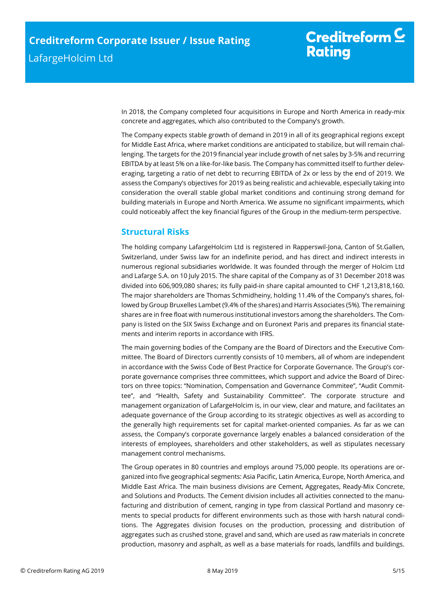# Creditreform  $C$ **Rating**

In 2018, the Company completed four acquisitions in Europe and North America in ready-mix concrete and aggregates, which also contributed to the Company's growth.

The Company expects stable growth of demand in 2019 in all of its geographical regions except for Middle East Africa, where market conditions are anticipated to stabilize, but will remain challenging. The targets for the 2019 financial year include growth of net sales by 3-5% and recurring EBITDA by at least 5% on a like-for-like basis. The Company has committed itself to further deleveraging, targeting a ratio of net debt to recurring EBITDA of 2x or less by the end of 2019. We assess the Company's objectives for 2019 as being realistic and achievable, especially taking into consideration the overall stable global market conditions and continuing strong demand for building materials in Europe and North America. We assume no significant impairments, which could noticeably affect the key financial figures of the Group in the medium-term perspective.

## <span id="page-4-0"></span>**Structural Risks**

The holding company LafargeHolcim Ltd is registered in Rapperswil-Jona, Canton of St.Gallen, Switzerland, under Swiss law for an indefinite period, and has direct and indirect interests in numerous regional subsidiaries worldwide. It was founded through the merger of Holcim Ltd and Lafarge S.A. on 10 July 2015. The share capital of the Company as of 31 December 2018 was divided into 606,909,080 shares; its fully paid-in share capital amounted to CHF 1,213,818,160. The major shareholders are Thomas Schmidheiny, holding 11.4% of the Company's shares, followed by Group Bruxelles Lambet (9.4% of the shares) and Harris Associates (5%). The remaining shares are in free float with numerous institutional investors among the shareholders. The Company is listed on the SIX Swiss Exchange and on Euronext Paris and prepares its financial statements and interim reports in accordance with IFRS.

The main governing bodies of the Company are the Board of Directors and the Executive Committee. The Board of Directors currently consists of 10 members, all of whom are independent in accordance with the Swiss Code of Best Practice for Corporate Governance. The Group's corporate governance comprises three committees, which support and advice the Board of Directors on three topics: "Nomination, Compensation and Governance Commitee", "Audit Committee", and "Health, Safety and Sustainability Committee". The corporate structure and management organization of LafargeHolcim is, in our view, clear and mature, and facilitates an adequate governance of the Group according to its strategic objectives as well as according to the generally high requirements set for capital market-oriented companies. As far as we can assess, the Company's corporate governance largely enables a balanced consideration of the interests of employees, shareholders and other stakeholders, as well as stipulates necessary management control mechanisms.

The Group operates in 80 countries and employs around 75,000 people. Its operations are organized into five geographical segments: Asia Pacific, Latin America, Europe, North America, and Middle East Africa. The main business divisions are Cement, Aggregates, Ready-Mix Concrete, and Solutions and Products. The Cement division includes all activities connected to the manufacturing and distribution of cement, ranging in type from classical Portland and masonry cements to special products for different environments such as those with harsh natural conditions. The Aggregates division focuses on the production, processing and distribution of aggregates such as crushed stone, gravel and sand, which are used as raw materials in concrete production, masonry and asphalt, as well as a base materials for roads, landfills and buildings.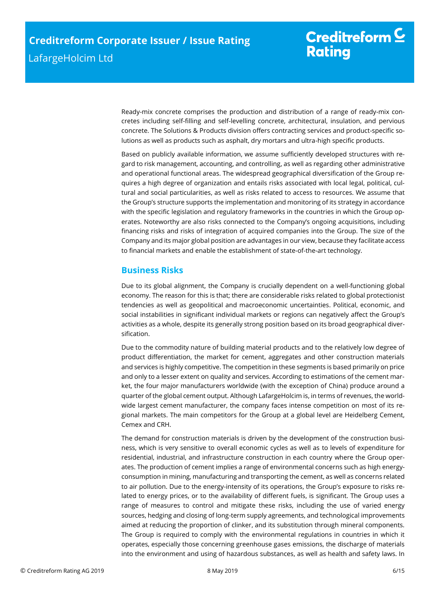Ready-mix concrete comprises the production and distribution of a range of ready-mix concretes including self-filling and self-levelling concrete, architectural, insulation, and pervious concrete. The Solutions & Products division offers contracting services and product-specific solutions as well as products such as asphalt, dry mortars and ultra-high specific products.

Based on publicly available information, we assume sufficiently developed structures with regard to risk management, accounting, and controlling, as well as regarding other administrative and operational functional areas. The widespread geographical diversification of the Group requires a high degree of organization and entails risks associated with local legal, political, cultural and social particularities, as well as risks related to access to resources. We assume that the Group's structure supports the implementation and monitoring of its strategy in accordance with the specific legislation and regulatory frameworks in the countries in which the Group operates. Noteworthy are also risks connected to the Company's ongoing acquisitions, including financing risks and risks of integration of acquired companies into the Group. The size of the Company and its major global position are advantages in our view, because they facilitate access to financial markets and enable the establishment of state-of-the-art technology.

## <span id="page-5-0"></span>**Business Risks**

Due to its global alignment, the Company is crucially dependent on a well-functioning global economy. The reason for this is that; there are considerable risks related to global protectionist tendencies as well as geopolitical and macroeconomic uncertainties. Political, economic, and social instabilities in significant individual markets or regions can negatively affect the Group's activities as a whole, despite its generally strong position based on its broad geographical diversification.

Due to the commodity nature of building material products and to the relatively low degree of product differentiation, the market for cement, aggregates and other construction materials and services is highly competitive. The competition in these segments is based primarily on price and only to a lesser extent on quality and services. According to estimations of the cement market, the four major manufacturers worldwide (with the exception of China) produce around a quarter of the global cement output. Although LafargeHolcim is, in terms of revenues, the worldwide largest cement manufacturer, the company faces intense competition on most of its regional markets. The main competitors for the Group at a global level are Heidelberg Cement, Cemex and CRH.

The demand for construction materials is driven by the development of the construction business, which is very sensitive to overall economic cycles as well as to levels of expenditure for residential, industrial, and infrastructure construction in each country where the Group operates. The production of cement implies a range of environmental concerns such as high energyconsumption in mining, manufacturing and transporting the cement, as well as concerns related to air pollution. Due to the energy-intensity of its operations, the Group's exposure to risks related to energy prices, or to the availability of different fuels, is significant. The Group uses a range of measures to control and mitigate these risks, including the use of varied energy sources, hedging and closing of long-term supply agreements, and technological improvements aimed at reducing the proportion of clinker, and its substitution through mineral components. The Group is required to comply with the environmental regulations in countries in which it operates, especially those concerning greenhouse gases emissions, the discharge of materials into the environment and using of hazardous substances, as well as health and safety laws. In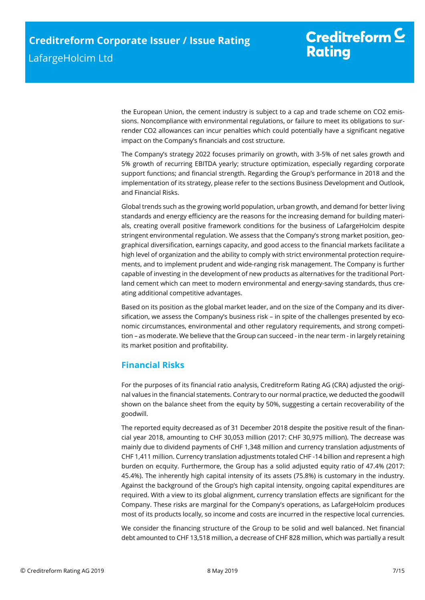the European Union, the cement industry is subject to a cap and trade scheme on CO2 emissions. Noncompliance with environmental regulations, or failure to meet its obligations to surrender CO2 allowances can incur penalties which could potentially have a significant negative impact on the Company's financials and cost structure.

The Company's strategy 2022 focuses primarily on growth, with 3-5% of net sales growth and 5% growth of recurring EBITDA yearly; structure optimization, especially regarding corporate support functions; and financial strength. Regarding the Group's performance in 2018 and the implementation of its strategy, please refer to the sections Business Development and Outlook, and Financial Risks.

Global trends such as the growing world population, urban growth, and demand for better living standards and energy efficiency are the reasons for the increasing demand for building materials, creating overall positive framework conditions for the business of LafargeHolcim despite stringent environmental regulation. We assess that the Company's strong market position, geographical diversification, earnings capacity, and good access to the financial markets facilitate a high level of organization and the ability to comply with strict environmental protection requirements, and to implement prudent and wide-ranging risk management. The Company is further capable of investing in the development of new products as alternatives for the traditional Portland cement which can meet to modern environmental and energy-saving standards, thus creating additional competitive advantages.

Based on its position as the global market leader, and on the size of the Company and its diversification, we assess the Company's business risk – in spite of the challenges presented by economic circumstances, environmental and other regulatory requirements, and strong competition – as moderate. We believe that the Group can succeed - in the near term - in largely retaining its market position and profitability.

## <span id="page-6-0"></span>**Financial Risks**

For the purposes of its financial ratio analysis, Creditreform Rating AG (CRA) adjusted the original values in the financial statements. Contrary to our normal practice, we deducted the goodwill shown on the balance sheet from the equity by 50%, suggesting a certain recoverability of the goodwill.

The reported equity decreased as of 31 December 2018 despite the positive result of the financial year 2018, amounting to CHF 30,053 million (2017: CHF 30,975 million). The decrease was mainly due to dividend payments of CHF 1,348 million and currency translation adjustments of CHF 1,411 million. Currency translation adjustments totaled CHF -14 billion and represent a high burden on ecquity. Furthermore, the Group has a solid adjusted equity ratio of 47.4% (2017: 45.4%). The inherently high capital intensity of its assets (75.8%) is customary in the industry. Against the background of the Group's high capital intensity, ongoing capital expenditures are required. With a view to its global alignment, currency translation effects are significant for the Company. These risks are marginal for the Company's operations, as LafargeHolcim produces most of its products locally, so income and costs are incurred in the respective local currencies.

We consider the financing structure of the Group to be solid and well balanced. Net financial debt amounted to CHF 13,518 million, a decrease of CHF 828 million, which was partially a result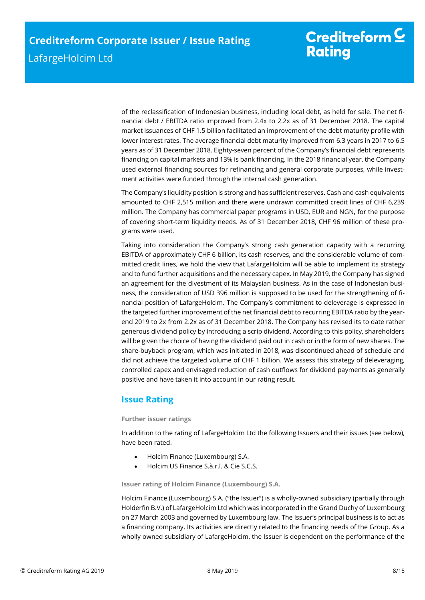of the reclassification of Indonesian business, including local debt, as held for sale. The net financial debt / EBITDA ratio improved from 2.4x to 2.2x as of 31 December 2018. The capital market issuances of CHF 1.5 billion facilitated an improvement of the debt maturity profile with lower interest rates. The average financial debt maturity improved from 6.3 years in 2017 to 6.5 years as of 31 December 2018. Eighty-seven percent of the Company's financial debt represents financing on capital markets and 13% is bank financing. In the 2018 financial year, the Company used external financing sources for refinancing and general corporate purposes, while investment activities were funded through the internal cash generation.

The Company's liquidity position is strong and has sufficient reserves. Cash and cash equivalents amounted to CHF 2,515 million and there were undrawn committed credit lines of CHF 6,239 million. The Company has commercial paper programs in USD, EUR and NGN, for the purpose of covering short-term liquidity needs. As of 31 December 2018, CHF 96 million of these programs were used.

Taking into consideration the Company's strong cash generation capacity with a recurring EBITDA of approximately CHF 6 billion, its cash reserves, and the considerable volume of committed credit lines, we hold the view that LafargeHolcim will be able to implement its strategy and to fund further acquisitions and the necessary capex. In May 2019, the Company has signed an agreement for the divestment of its Malaysian business. As in the case of Indonesian business, the consideration of USD 396 million is supposed to be used for the strengthening of financial position of LafargeHolcim. The Company's commitment to deleverage is expressed in the targeted further improvement of the net financial debt to recurring EBITDA ratio by the yearend 2019 to 2x from 2.2x as of 31 December 2018. The Company has revised its to date rather generous dividend policy by introducing a scrip dividend. According to this policy, shareholders will be given the choice of having the dividend paid out in cash or in the form of new shares. The share-buyback program, which was initiated in 2018, was discontinued ahead of schedule and did not achieve the targeted volume of CHF 1 billion. We assess this strategy of deleveraging, controlled capex and envisaged reduction of cash outflows for dividend payments as generally positive and have taken it into account in our rating result.

## <span id="page-7-0"></span>**Issue Rating**

#### **Further issuer ratings**

In addition to the rating of LafargeHolcim Ltd the following Issuers and their issues (see below), have been rated.

- Holcim Finance (Luxembourg) S.A.
- Holcim US Finance S.à.r.l. & Cie S.C.S.

**Issuer rating of Holcim Finance (Luxembourg) S.A.**

Holcim Finance (Luxembourg) S.A. ("the Issuer") is a wholly-owned subsidiary (partially through Holderfin B.V.) of LafargeHolcim Ltd which was incorporated in the Grand Duchy of Luxembourg on 27 March 2003 and governed by Luxembourg law. The Issuer's principal business is to act as a financing company. Its activities are directly related to the financing needs of the Group. As a wholly owned subsidiary of LafargeHolcim, the Issuer is dependent on the performance of the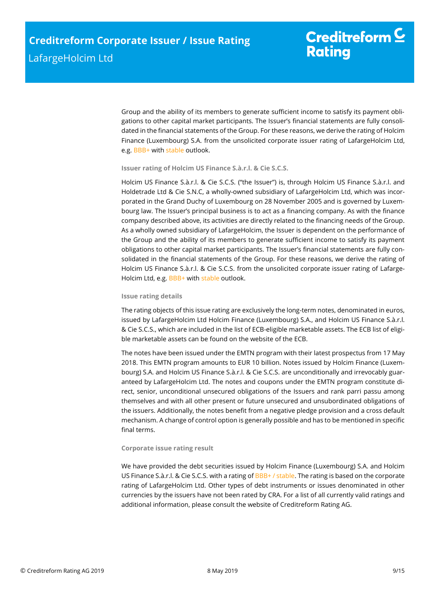Group and the ability of its members to generate sufficient income to satisfy its payment obligations to other capital market participants. The Issuer's financial statements are fully consolidated in the financial statements of the Group. For these reasons, we derive the rating of Holcim Finance (Luxembourg) S.A. from the unsolicited corporate issuer rating of LafargeHolcim Ltd, e.g. BBB+ with stable outlook.

#### **Issuer rating of Holcim US Finance S.à.r.l. & Cie S.C.S.**

Holcim US Finance S.à.r.l. & Cie S.C.S. ("the Issuer") is, through Holcim US Finance S.à.r.l. and Holdetrade Ltd & Cie S.N.C, a wholly-owned subsidiary of LafargeHolcim Ltd, which was incorporated in the Grand Duchy of Luxembourg on 28 November 2005 and is governed by Luxembourg law. The Issuer's principal business is to act as a financing company. As with the finance company described above, its activities are directly related to the financing needs of the Group. As a wholly owned subsidiary of LafargeHolcim, the Issuer is dependent on the performance of the Group and the ability of its members to generate sufficient income to satisfy its payment obligations to other capital market participants. The Issuer's financial statements are fully consolidated in the financial statements of the Group. For these reasons, we derive the rating of Holcim US Finance S.à.r.l. & Cie S.C.S. from the unsolicited corporate issuer rating of Lafarge-Holcim Ltd, e.g. BBB+ with stable outlook.

#### **Issue rating details**

The rating objects of this issue rating are exclusively the long-term notes, denominated in euros, issued by LafargeHolcim Ltd Holcim Finance (Luxembourg) S.A., and Holcim US Finance S.à.r.l. & Cie S.C.S., which are included in the list of ECB-eligible marketable assets. The ECB list of eligible marketable assets can be found on the website of the ECB.

The notes have been issued under the EMTN program with their latest prospectus from 17 May 2018. This EMTN program amounts to EUR 10 billion. Notes issued by Holcim Finance (Luxembourg) S.A. and Holcim US Finance S.à.r.l. & Cie S.C.S. are unconditionally and irrevocably guaranteed by LafargeHolcim Ltd. The notes and coupons under the EMTN program constitute direct, senior, unconditional unsecured obligations of the Issuers and rank parri passu among themselves and with all other present or future unsecured and unsubordinated obligations of the issuers. Additionally, the notes benefit from a negative pledge provision and a cross default mechanism. A change of control option is generally possible and has to be mentioned in specific final terms.

#### **Corporate issue rating result**

We have provided the debt securities issued by Holcim Finance (Luxembourg) S.A. and Holcim US Finance S.à.r.l. & Cie S.C.S. with a rating of BBB+ / stable. The rating is based on the corporate rating of LafargeHolcim Ltd. Other types of debt instruments or issues denominated in other currencies by the issuers have not been rated by CRA. For a list of all currently valid ratings and additional information, please consult the website of Creditreform Rating AG.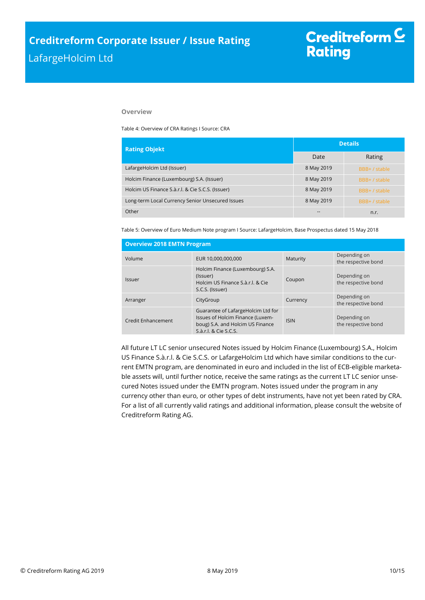#### **Overview**

Table 4: Overview of CRA Ratings I Source: CRA

| <b>Rating Objekt</b>                             | <b>Details</b> |               |  |
|--------------------------------------------------|----------------|---------------|--|
|                                                  | Date           | Rating        |  |
| LafargeHolcim Ltd (Issuer)                       | 8 May 2019     | BBB+ / stable |  |
| Holcim Finance (Luxembourg) S.A. (Issuer)        | 8 May 2019     | BBB+ / stable |  |
| Holcim US Finance S.à.r.l. & Cie S.C.S. (Issuer) | 8 May 2019     | BBB+ / stable |  |
| Long-term Local Currency Senior Unsecured Issues | 8 May 2019     | BBB+/stable   |  |
| Other                                            | --             | n.r.          |  |

Table 5: Overview of Euro Medium Note program I Source: LafargeHolcim, Base Prospectus dated 15 May 2018

| <b>Overview 2018 EMTN Program</b> |                                                                                                                                     |             |                                     |  |  |  |
|-----------------------------------|-------------------------------------------------------------------------------------------------------------------------------------|-------------|-------------------------------------|--|--|--|
| Volume                            | EUR 10,000,000,000                                                                                                                  | Maturity    | Depending on<br>the respective bond |  |  |  |
| Issuer                            | Holcim Finance (Luxembourg) S.A.<br>(Issuer)<br>Holcim US Finance S.à.r.l. & Cie<br>S.C.S. (Issuer)                                 | Coupon      | Depending on<br>the respective bond |  |  |  |
| Arranger                          | CityGroup                                                                                                                           | Currency    | Depending on<br>the respective bond |  |  |  |
| <b>Credit Enhancement</b>         | Guarantee of LafargeHolcim Ltd for<br>Issues of Holcim Finance (Luxem-<br>boug) S.A. and Holcim US Finance<br>S.à.r.l. & Cie S.C.S. | <b>ISIN</b> | Depending on<br>the respective bond |  |  |  |

<span id="page-9-0"></span>All future LT LC senior unsecured Notes issued by Holcim Finance (Luxembourg) S.A., Holcim US Finance S.à.r.l. & Cie S.C.S. or LafargeHolcim Ltd which have similar conditions to the current EMTN program, are denominated in euro and included in the list of ECB-eligible marketable assets will, until further notice, receive the same ratings as the current LT LC senior unsecured Notes issued under the EMTN program. Notes issued under the program in any currency other than euro, or other types of debt instruments, have not yet been rated by CRA. For a list of all currently valid ratings and additional information, please consult the website of Creditreform Rating AG.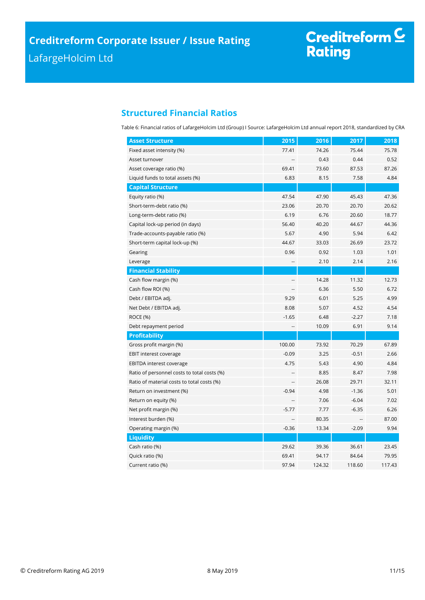# Creditreform <sup>C</sup><br>Rating

## **Structured Financial Ratios**

Table 6: Financial ratios of LafargeHolcim Ltd (Group) I Source: LafargeHolcim Ltd annual report 2018, standardized by CRA

| <b>Asset Structure</b>                      | 2015           | 2016   | 2017    | 2018   |
|---------------------------------------------|----------------|--------|---------|--------|
| Fixed asset intensity (%)                   | 77.41          | 74.26  | 75.44   | 75.78  |
| Asset turnover                              |                | 0.43   | 0.44    | 0.52   |
| Asset coverage ratio (%)                    | 69.41          | 73.60  | 87.53   | 87.26  |
| Liquid funds to total assets (%)            | 6.83           | 8.15   | 7.58    | 4.84   |
| <b>Capital Structure</b>                    |                |        |         |        |
| Equity ratio (%)                            | 47.54          | 47.90  | 45.43   | 47.36  |
| Short-term-debt ratio (%)                   | 23.06          | 20.70  | 20.70   | 20.62  |
| Long-term-debt ratio (%)                    | 6.19           | 6.76   | 20.60   | 18.77  |
| Capital lock-up period (in days)            | 56.40          | 40.20  | 44.67   | 44.36  |
| Trade-accounts-payable ratio (%)            | 5.67           | 4.90   | 5.94    | 6.42   |
| Short-term capital lock-up (%)              | 44.67          | 33.03  | 26.69   | 23.72  |
| Gearing                                     | 0.96           | 0.92   | 1.03    | 1.01   |
| Leverage                                    | --             | 2.10   | 2.14    | 2.16   |
| <b>Financial Stability</b>                  |                |        |         |        |
| Cash flow margin (%)                        | $\overline{a}$ | 14.28  | 11.32   | 12.73  |
| Cash flow ROI (%)                           |                | 6.36   | 5.50    | 6.72   |
| Debt / EBITDA adj.                          | 9.29           | 6.01   | 5.25    | 4.99   |
| Net Debt / EBITDA adj.                      | 8.08           | 5.07   | 4.52    | 4.54   |
| <b>ROCE (%)</b>                             | $-1.65$        | 6.48   | $-2.27$ | 7.18   |
| Debt repayment period                       | --             | 10.09  | 6.91    | 9.14   |
| <b>Profitability</b>                        |                |        |         |        |
| Gross profit margin (%)                     | 100.00         | 73.92  | 70.29   | 67.89  |
| EBIT interest coverage                      | $-0.09$        | 3.25   | $-0.51$ | 2.66   |
| <b>EBITDA</b> interest coverage             | 4.75           | 5.43   | 4.90    | 4.84   |
| Ratio of personnel costs to total costs (%) |                | 8.85   | 8.47    | 7.98   |
| Ratio of material costs to total costs (%)  |                | 26.08  | 29.71   | 32.11  |
| Return on investment (%)                    | $-0.94$        | 4.98   | $-1.36$ | 5.01   |
| Return on equity (%)                        |                | 7.06   | $-6.04$ | 7.02   |
| Net profit margin (%)                       | $-5.77$        | 7.77   | $-6.35$ | 6.26   |
| Interest burden (%)                         |                | 80.35  |         | 87.00  |
| Operating margin (%)                        | $-0.36$        | 13.34  | $-2.09$ | 9.94   |
| <b>Liquidity</b>                            |                |        |         |        |
| Cash ratio (%)                              | 29.62          | 39.36  | 36.61   | 23.45  |
| Quick ratio (%)                             | 69.41          | 94.17  | 84.64   | 79.95  |
| Current ratio (%)                           | 97.94          | 124.32 | 118.60  | 117.43 |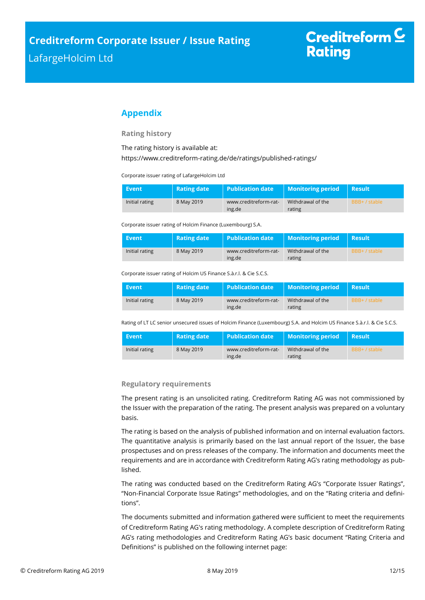## <span id="page-11-0"></span>**Appendix**

#### **Rating history**

The rating history is available at:

<https://www.creditreform-rating.de/de/ratings/published-ratings/>

Corporate issuer rating of LafargeHolcim Ltd

| Event          | <b>Rating date</b> | <b>Publication date</b>         | <b>Monitoring period</b>    | Result        |
|----------------|--------------------|---------------------------------|-----------------------------|---------------|
| Initial rating | 8 May 2019         | www.creditreform-rat-<br>ing.de | Withdrawal of the<br>rating | BBB+ / stable |

Corporate issuer rating of Holcim Finance (Luxembourg) S.A.

| <b>Event</b>   | Rating date | <b>Publication date</b> | <b>Monitoring period</b> | <b>Result</b> |
|----------------|-------------|-------------------------|--------------------------|---------------|
| Initial rating | 8 May 2019  | www.creditreform-rat-   | Withdrawal of the        | BBB+ / stable |
|                |             | ing.de                  | rating                   |               |

Corporate issuer rating of Holcim US Finance S.à.r.l. & Cie S.C.S.

| Event          | <b>Rating date</b> | <b>Publication date</b>         | <b>Monitoring period</b>    | Result        |
|----------------|--------------------|---------------------------------|-----------------------------|---------------|
| Initial rating | 8 May 2019         | www.creditreform-rat-<br>ing.de | Withdrawal of the<br>rating | BBB+ / stable |

Rating of LT LC senior unsecured issues of Holcim Finance (Luxembourg) S.A. and Holcim US Finance S.à.r.l. & Cie S.C.S.

| Event          | <b>Rating date</b> | Publication date      | <b>Monitoring period</b> | k Result !    |
|----------------|--------------------|-----------------------|--------------------------|---------------|
| Initial rating | 8 May 2019         | www.creditreform-rat- | Withdrawal of the        | BBB+ / stable |
|                |                    | ing.de                | rating                   |               |

#### **Regulatory requirements**

The present rating is an unsolicited rating. Creditreform Rating AG was not commissioned by the Issuer with the preparation of the rating. The present analysis was prepared on a voluntary basis.

The rating is based on the analysis of published information and on internal evaluation factors. The quantitative analysis is primarily based on the last annual report of the Issuer, the base prospectuses and on press releases of the company. The information and documents meet the requirements and are in accordance with Creditreform Rating AG's rating methodology as published.

The rating was conducted based on the Creditreform Rating AG's "Corporate Issuer Ratings", "Non-Financial Corporate Issue Ratings" methodologies, and on the "Rating criteria and definitions".

The documents submitted and information gathered were sufficient to meet the requirements of Creditreform Rating AG's rating methodology. A complete description of Creditreform Rating AG's rating methodologies and Creditreform Rating AG's basic document "Rating Criteria and Definitions" is published on the following internet page: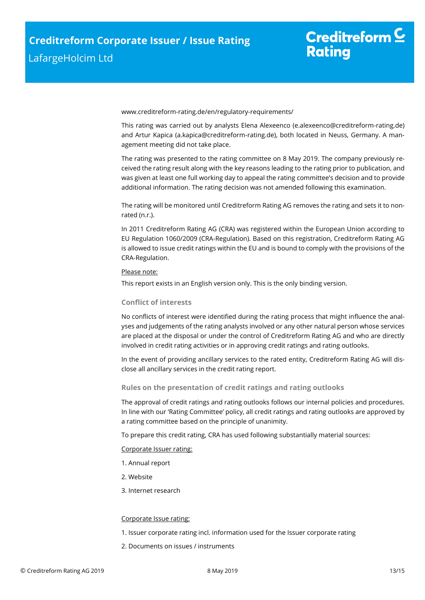# Creditreform  $\mathsf{\underline{\mathsf{C}}}$ **Rating**

[www.creditreform-rating.de/](http://www.creditreform-rating.de/)en/regulatory-requirements/

This rating was carried out by analysts Elena Alexeenco [\(e.alexeenco@creditreform-rating.de\)](mailto:e.alexeenco@creditreform-rating.de) and Artur Kapica (a.kapica@creditreform-rating.de), both located in Neuss, Germany. A management meeting did not take place.

The rating was presented to the rating committee on 8 May 2019. The company previously received the rating result along with the key reasons leading to the rating prior to publication, and was given at least one full working day to appeal the rating committee's decision and to provide additional information. The rating decision was not amended following this examination.

The rating will be monitored until Creditreform Rating AG removes the rating and sets it to nonrated (n.r.).

In 2011 Creditreform Rating AG (CRA) was registered within the European Union according to EU Regulation 1060/2009 (CRA-Regulation). Based on this registration, Creditreform Rating AG is allowed to issue credit ratings within the EU and is bound to comply with the provisions of the CRA-Regulation.

#### Please note:

This report exists in an English version only. This is the only binding version.

#### **Conflict of interests**

No conflicts of interest were identified during the rating process that might influence the analyses and judgements of the rating analysts involved or any other natural person whose services are placed at the disposal or under the control of Creditreform Rating AG and who are directly involved in credit rating activities or in approving credit ratings and rating outlooks.

In the event of providing ancillary services to the rated entity, Creditreform Rating AG will disclose all ancillary services in the credit rating report.

#### **Rules on the presentation of credit ratings and rating outlooks**

The approval of credit ratings and rating outlooks follows our internal policies and procedures. In line with our 'Rating Committee' policy, all credit ratings and rating outlooks are approved by a rating committee based on the principle of unanimity.

To prepare this credit rating, CRA has used following substantially material sources:

#### Corporate Issuer rating:

- 1. Annual report
- 2. Website
- 3. Internet research

#### Corporate Issue rating:

- 1. Issuer corporate rating incl. information used for the Issuer corporate rating
- 2. Documents on issues / instruments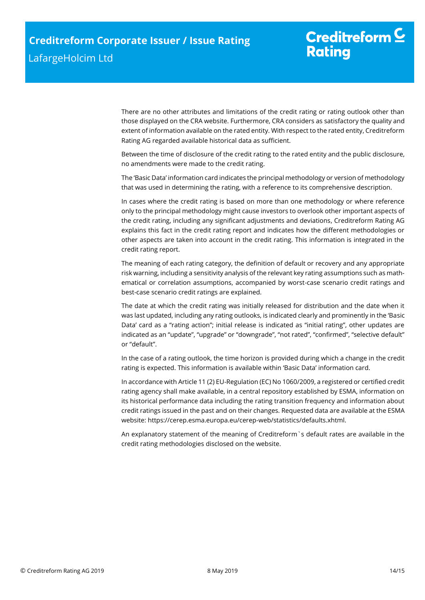There are no other attributes and limitations of the credit rating or rating outlook other than those displayed on the CRA website. Furthermore, CRA considers as satisfactory the quality and extent of information available on the rated entity. With respect to the rated entity, Creditreform Rating AG regarded available historical data as sufficient.

Between the time of disclosure of the credit rating to the rated entity and the public disclosure, no amendments were made to the credit rating.

The 'Basic Data' information card indicates the principal methodology or version of methodology that was used in determining the rating, with a reference to its comprehensive description.

In cases where the credit rating is based on more than one methodology or where reference only to the principal methodology might cause investors to overlook other important aspects of the credit rating, including any significant adjustments and deviations, Creditreform Rating AG explains this fact in the credit rating report and indicates how the different methodologies or other aspects are taken into account in the credit rating. This information is integrated in the credit rating report.

The meaning of each rating category, the definition of default or recovery and any appropriate risk warning, including a sensitivity analysis of the relevant key rating assumptions such as mathematical or correlation assumptions, accompanied by worst-case scenario credit ratings and best-case scenario credit ratings are explained.

The date at which the credit rating was initially released for distribution and the date when it was last updated, including any rating outlooks, is indicated clearly and prominently in the 'Basic Data' card as a "rating action"; initial release is indicated as "initial rating", other updates are indicated as an "update", "upgrade" or "downgrade", "not rated", "confirmed", "selective default" or "default".

In the case of a rating outlook, the time horizon is provided during which a change in the credit rating is expected. This information is available within 'Basic Data' information card.

In accordance with Article 11 (2) EU-Regulation (EC) No 1060/2009, a registered or certified credit rating agency shall make available, in a central repository established by ESMA, information on its historical performance data including the rating transition frequency and information about credit ratings issued in the past and on their changes. Requested data are available at the ESMA website: https://cerep.esma.europa.eu/cerep-web/statistics/defaults.xhtml.

An explanatory statement of the meaning of Creditreform`s default rates are available in the credit rating methodologies disclosed on the website.